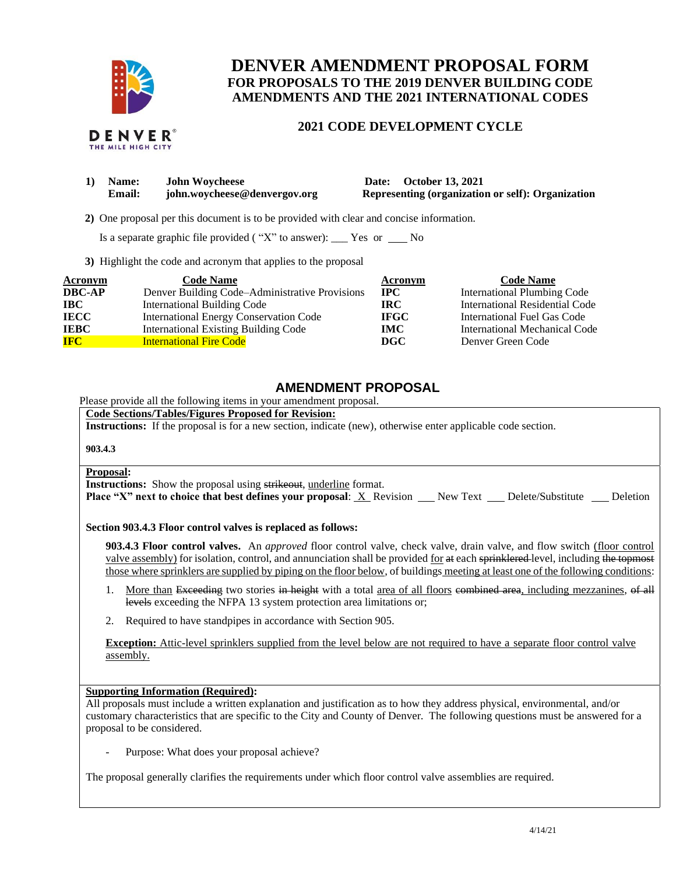

# **DENVER AMENDMENT PROPOSAL FORM FOR PROPOSALS TO THE 2019 DENVER BUILDING CODE AMENDMENTS AND THE 2021 INTERNATIONAL CODES**

## **2021 CODE DEVELOPMENT CYCLE**

|  | DENVER®            |  |
|--|--------------------|--|
|  | THE MILE HIGH CITY |  |

| 1) Name:      | <b>John Woycheese</b>        | Date: October 13, 2021                            |
|---------------|------------------------------|---------------------------------------------------|
| <b>Email:</b> | john.woycheese@denvergov.org | Representing (organization or self): Organization |

 **2)** One proposal per this document is to be provided with clear and concise information.

Is a separate graphic file provided ( $"X"$  to answer): \_\_\_ Yes or \_\_\_ No

**3)** Highlight the code and acronym that applies to the proposal

| <b>Acronym</b> | <b>Code Name</b>                               | <b>Acronym</b> | <b>Code Name</b>               |
|----------------|------------------------------------------------|----------------|--------------------------------|
| <b>DBC-AP</b>  | Denver Building Code–Administrative Provisions | IPC.           | International Plumbing Code    |
| $\bf IBC$      | <b>International Building Code</b>             | <b>IRC</b>     | International Residential Code |
| <b>IECC</b>    | International Energy Conservation Code         | <b>IFGC</b>    | International Fuel Gas Code    |
| <b>IEBC</b>    | <b>International Existing Building Code</b>    | <b>IMC</b>     | International Mechanical Code  |
| <b>IFC</b>     | <b>International Fire Code</b>                 | DGC            | Denver Green Code              |

## **AMENDMENT PROPOSAL**

Please provide all the following items in your amendment proposal.

## **Code Sections/Tables/Figures Proposed for Revision:**

**Instructions:** If the proposal is for a new section, indicate (new), otherwise enter applicable code section.

#### **903.4.3**

#### **Proposal:**

**Instructions:** Show the proposal using strikeout, underline format. **Place "X" next to choice that best defines your proposal: X Revision New Text Delete/Substitute Deletion** 

#### **Section 903.4.3 Floor control valves is replaced as follows:**

**903.4.3 Floor control valves.** An *approved* floor control valve, check valve, drain valve, and flow switch (floor control valve assembly) for isolation, control, and annunciation shall be provided for at each sprinklered level, including the topmost those where sprinklers are supplied by piping on the floor below, of buildings meeting at least one of the following conditions:

- 1. More than Exceeding two stories in height with a total area of all floors combined area, including mezzanines, of all levels exceeding the NFPA 13 system protection area limitations or;
- 2. Required to have standpipes in accordance with Section 905.

**Exception:** Attic-level sprinklers supplied from the level below are not required to have a separate floor control valve assembly.

#### **Supporting Information (Required):**

All proposals must include a written explanation and justification as to how they address physical, environmental, and/or customary characteristics that are specific to the City and County of Denver. The following questions must be answered for a proposal to be considered.

Purpose: What does your proposal achieve?

The proposal generally clarifies the requirements under which floor control valve assemblies are required.